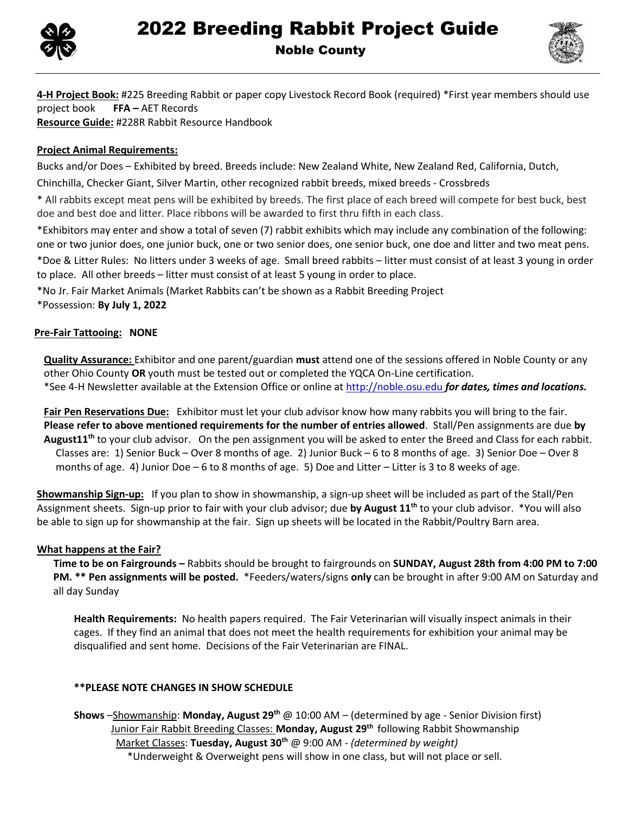



**4-H Project Book:** #225 Breeding Rabbit or paper copy Livestock Record Book (required) \*First year members should use project book **FFA –** AET Records **Resource Guide:** #228R Rabbit Resource Handbook

## **Project Animal Requirements:**

Bucks and/or Does – Exhibited by breed. Breeds include: New Zealand White, New Zealand Red, California, Dutch,

Chinchilla, Checker Giant, Silver Martin, other recognized rabbit breeds, mixed breeds - Crossbreds

\* All rabbits except meat pens will be exhibited by breeds. The first place of each breed will compete for best buck, best doe and best doe and litter. Place ribbons will be awarded to first thru fifth in each class.

\*Exhibitors may enter and show a total of seven (7) rabbit exhibits which may include any combination of the following: one or two junior does, one junior buck, one or two senior does, one senior buck, one doe and litter and two meat pens.

\*Doe & Litter Rules: No litters under 3 weeks of age. Small breed rabbits – litter must consist of at least 3 young in order to place. All other breeds – litter must consist of at least 5 young in order to place.

\*No Jr. Fair Market Animals (Market Rabbits can't be shown as a Rabbit Breeding Project \*Possession: **By July 1, 2022**

## **Pre-Fair Tattooing: NONE**

**Quality Assurance:** Exhibitor and one parent/guardian **must** attend one of the sessions offered in Noble County or any other Ohio County **OR** youth must be tested out or completed the YQCA On-Line certification. \*See 4-H Newsletter available at the Extension Office or online at http://noble.osu.edu *for dates, times and locations.*

**Fair Pen Reservations Due:** Exhibitor must let your club advisor know how many rabbits you will bring to the fair. **Please refer to above mentioned requirements for the number of entries allowed**. Stall/Pen assignments are due **by August11 th** to your club advisor. On the pen assignment you will be asked to enter the Breed and Class for each rabbit. Classes are: 1) Senior Buck – Over 8 months of age. 2) Junior Buck – 6 to 8 months of age. 3) Senior Doe – Over 8 months of age. 4) Junior Doe – 6 to 8 months of age. 5) Doe and Litter – Litter is 3 to 8 weeks of age.

**Showmanship Sign-up:** If you plan to show in showmanship, a sign-up sheet will be included as part of the Stall/Pen Assignment sheets. Sign-up prior to fair with your club advisor; due **by August 11 th** to your club advisor. \*You will also be able to sign up for showmanship at the fair. Sign up sheets will be located in the Rabbit/Poultry Barn area.

## **What happens at the Fair?**

**Time to be on Fairgrounds –** Rabbits should be brought to fairgrounds on **SUNDAY, August 28th from 4:00 PM to 7:00 PM. \*\* Pen assignments will be posted.** \*Feeders/waters/signs **only** can be brought in after 9:00 AM on Saturday and all day Sunday

**Health Requirements:** No health papers required. The Fair Veterinarian will visually inspect animals in their cages. If they find an animal that does not meet the health requirements for exhibition your animal may be disqualified and sent home. Decisions of the Fair Veterinarian are FINAL.

## **\*\*PLEASE NOTE CHANGES IN SHOW SCHEDULE**

**Shows** –Showmanship: **Monday, August 29th** @ 10:00 AM – (determined by age - Senior Division first) Junior Fair Rabbit Breeding Classes: **Monday, August 29th** following Rabbit Showmanship Market Classes: **Tuesday, August 30 th** @ 9:00 AM - *(determined by weight)* \*Underweight & Overweight pens will show in one class, but will not place or sell.